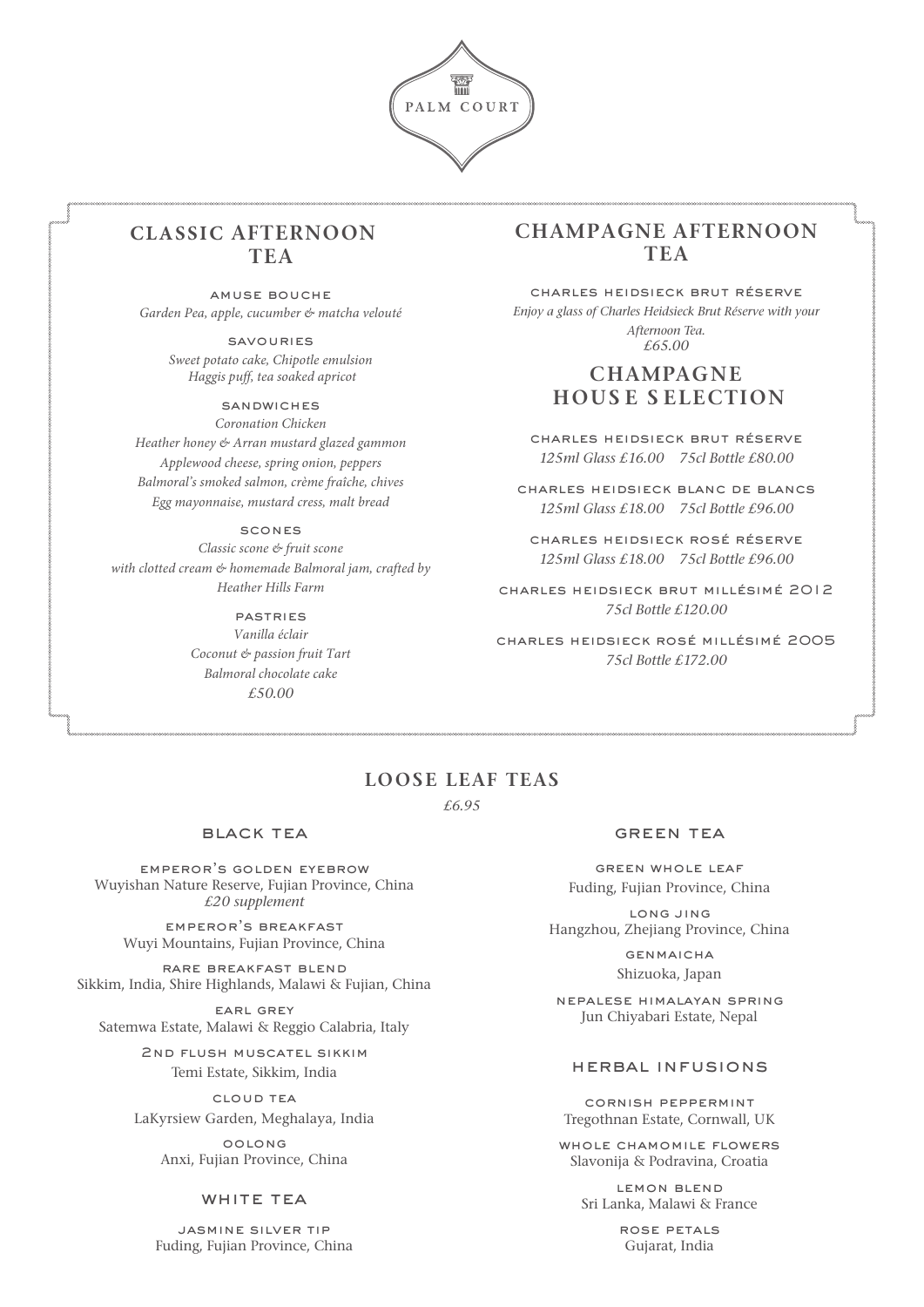

## **CLASSIC AFTERNOON TEA**

amuse bouche *Garden Pea, apple, cucumber & matcha velouté*

> savouries *Sweet potato cake, Chipotle emulsion Haggis puff, tea soaked apricot*

### **SANDWICHES**

*Coronation Chicken Heather honey & Arran mustard glazed gammon Applewood cheese, spring onion, peppers Balmoral's smoked salmon, crème fraîche, chives Egg mayonnaise, mustard cress, malt bread*

#### scones

*Classic scone & fruit scone with clotted cream & homemade Balmoral jam, crafted by Heather Hills Farm*

> pastries *Vanilla éclair Coconut & passion fruit Tart Balmoral chocolate cake £50.00*

## **CHAMPAGNE AFTERNOON TEA**

charles heidsieck brut réserve *Enjoy a glass of Charles Heidsieck Brut Réserve with your Afternoon Tea. £65.00*

## **CHAMPAGNE HOUS E S ELECTION**

charles heidsieck brut réserve *125ml Glass £16.00 75cl Bottle £80.00*

charles heidsieck blanc de blancs *125ml Glass £18.00 75cl Bottle £96.00* 

charles heidsieck rosé réserve *125ml Glass £18.00 75cl Bottle £96.00*

charles heidsieck brut millésimé 2012 *75cl Bottle £120.00*

charles heidsieck rosé millésimé 2005 *75cl Bottle £172.00* 

### **LOOSE LEAF TEAS**

*£6.95*

#### black tea

emperor's golden eyebrow Wuyishan Nature Reserve, Fujian Province, China *£20 supplement*

emperor's breakfast Wuyi Mountains, Fujian Province, China

rare breakfast blend Sikkim, India, Shire Highlands, Malawi & Fujian, China

earl grey Satemwa Estate, Malawi & Reggio Calabria, Italy

> 2nd flush muscatel sikkim Temi Estate, Sikkim, India

cloud tea LaKyrsiew Garden, Meghalaya, India

> oolong Anxi, Fujian Province, China

### WHITE TEA

jasmine silver tip Fuding, Fujian Province, China

#### green tea

green whole leaf Fuding, Fujian Province, China

long jing Hangzhou, Zhejiang Province, China

> **GENMAICHA** Shizuoka, Japan

nepalese himalayan spring Jun Chiyabari Estate, Nepal

#### herbal infusions

cornish peppermint Tregothnan Estate, Cornwall, UK

whole chamomile flowers Slavonija & Podravina, Croatia

lemon blend Sri Lanka, Malawi & France

> rose petals Gujarat, India